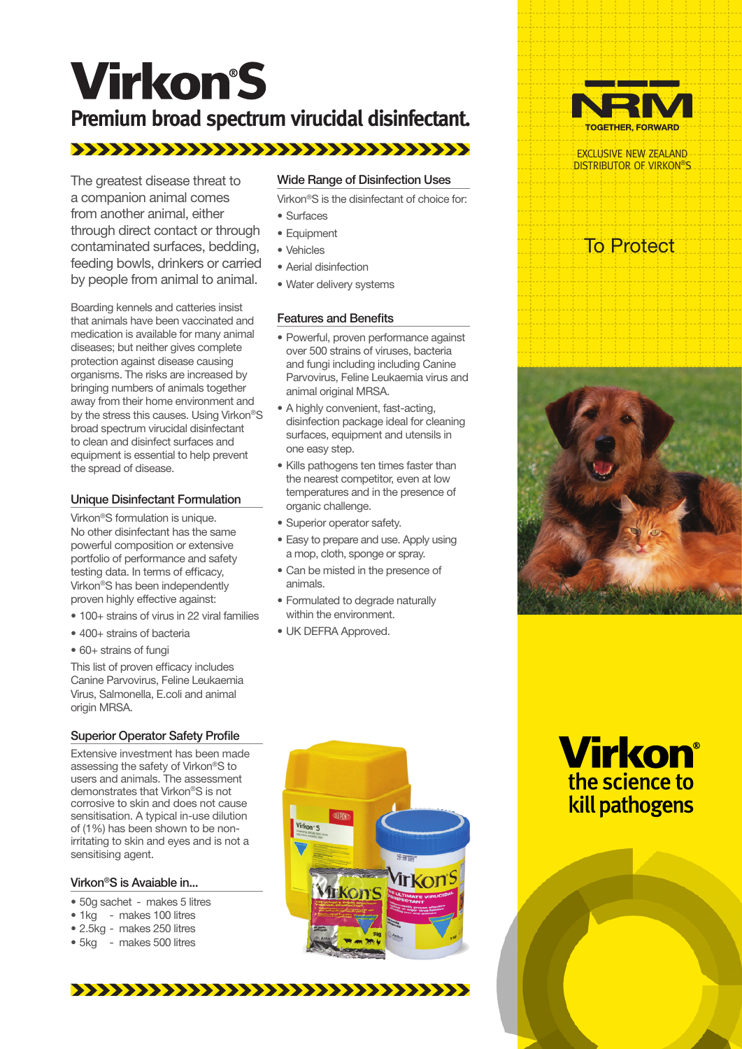# **Virkon'S**

# **Premium broad spectrum virucidal disinfectant.**

The greatest disease threat to a companion animal comes from another animal, either through direct contact or through contaminated surfaces, bedding, feeding bowls, drinkers or carried by people from animal to animal.

Boarding kennels and catteries insist that animals have been vaccinated and medication is available for many animal diseases; but neither gives complete protection against disease causing organisms. The risks are increased by bringing numbers of animals together away from their home environment and by the stress this causes. Using Virkon®S broad spectrum virucidal disinfectant to clean and disinfect surfaces and equipment is essential to help prevent the spread of disease.

## Unique Disinfectant Formulation

Virkon®S formulation is unique. No other disinfectant has the same powerful composition or extensive portfolio of performance and safety testing data. In terms of efficacy, Virkon®S has been independently proven highly effective against:

- 100+ strains of virus in 22 viral families
- • 400+ strains of bacteria
- 60+ strains of fungi

This list of proven efficacy includes Canine Parvovirus, Feline Leukaemia Virus, Salmonella, E.coli and animal origin MRSA.

## Superior Operator Safety Profile

Extensive investment has been made assessing the safety of Virkon®S to users and animals. The assessment demonstrates that Virkon®S is not corrosive to skin and does not cause sensitisation. A typical in-use dilution of (1%) has been shown to be nonirritating to skin and eyes and is not a sensitising agent.

#### Virkon®S is Avaiable in...

- 50g sachet makes 5 litres
- 1kg makes 100 litres
- 2.5kg makes 250 litres
- 5kg makes 500 litres

#### Wide Range of Disinfection Uses

Virkon®S is the disinfectant of choice for:

- Surfaces
- Equipment
- • Vehicles
- • Aerial disinfection
- Water delivery systems

#### Features and Benefits

- Powerful, proven performance against over 500 strains of viruses, bacteria and fungi including including Canine Parvovirus, Feline Leukaemia virus and animal original MRSA.
- A highly convenient, fast-acting, disinfection package ideal for cleaning surfaces, equipment and utensils in one easy step.
- Kills pathogens ten times faster than the nearest competitor, even at low temperatures and in the presence of organic challenge.
- Superior operator safety.
- Easy to prepare and use. Apply using a mop, cloth, sponge or spray.
- Can be misted in the presence of animals.
- Formulated to degrade naturally within the environment.
- UK DEFRA Approved.



EXCLUSIVE NEW ZEALAND DISTRIBUTOR OF VIRKON®S

# To Protect